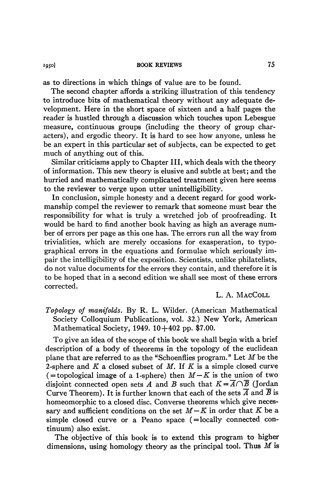as to directions in which things of value are to be found.

The second chapter affords a striking illustration of this tendency to introduce bits of mathematical theory without any adequate development. Here in the short space of sixteen and a half pages the reader is hustled through a discussion which touches upon Lebesgue measure, continuous groups (including the theory of group characters), and ergodic theory. It is hard to see how anyone, unless he be an expert in this particular set of subjects, can be expected to get much of anything out of this.

Similar criticisms apply to Chapter III, which deals with the theory of information. This new theory is elusive and subtle at best; and the hurried and mathematically complicated treatment given here seems to the reviewer to verge upon utter unintelligibility.

In conclusion, simple honesty and a decent regard for good workmanship compel the reviewer to remark that someone must bear the responsibility for what is truly a wretched job of proofreading. It would be hard to find another book having as high an average number of errors per page as this one has. The errors run all the way from trivialities, which are merely occasions for exasperation, to typographical errors in the equations and formulae which seriously impair the intelligibility of the exposition. Scientists, unlike philatelists, do not value documents for the errors they contain, and therefore it is to be hoped that in a second edition we shall see most of these errors corrected.

L. A. MACCOLL

*Topology of manifolds.* By R. L. Wilder. (American Mathematical Society Colloquium Publications, vol. 32.) New York, American Mathematical Society, 1949. 10+402 pp. \$7.00.

To give an idea of the scope of this book we shall begin with a brief description of a body of theorems in the topology of the euclidean plane that are referred to as the "Schoenflies program." Let *M* be the 2-sphere and *K* a closed subset of *M.* If *K* is a simple closed curve  $($  = topological image of a 1-sphere) then  $M-K$  is the union of two disjoint connected open sets *A* and *B* such that  $K = \overline{A} \cap \overline{B}$  (Jordan Curve Theorem). It is further known that each of the sets  $\overline{A}$  and  $\overline{B}$  is homeomorphic to a closed disc. Converse theorems which give necessary and sufficient conditions on the set  $M - K$  in order that  $K$  be a simple closed curve or a Peano space (=locally connected continuum) also exist.

The objective of this book is to extend this program to higher dimensions, using homology theory as the principal tool. Thus *M* is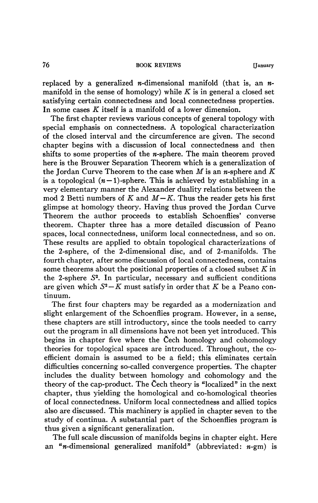## 76 **BOOK REVIEWS [January**

replaced by a generalized *n*-dimensional manifold (that is, an *n*manifold in the sense of homology) while *K* is in general a closed set satisfying certain connectedness and local connectedness properties. In some cases *K* itself is a manifold of a lower dimension.

The first chapter reviews various concepts of general topology with special emphasis on connectedness. A topological characterization of the closed interval and the circumference are given. The second chapter begins with a discussion of local connectedness and then shifts to some properties of the  $n$ -sphere. The main theorem proved here is the Brouwer Separation Theorem which is a generalization of the Jordan Curve Theorem to the case when *M* is an w-sphere and *K*  is a topological  $(n-1)$ -sphere. This is achieved by establishing in a very elementary manner the Alexander duality relations between the mod 2 Betti numbers of  $K$  and  $M-K$ . Thus the reader gets his first glimpse at homology theory. Having thus proved the Jordan Curve Theorem the author proceeds to establish Schoenflies' converse theorem. Chapter three has a more detailed discussion of Peano spaces, local connectedness, uniform local connectedness, and so on. These results are applied to obtain topological characterizations of the 2-sphere, of the 2-dimensional disc, and of 2-manifolds. The fourth chapter, after some discussion of local connectedness, contains some theorems about the positional properties of a closed subset *K* in the 2-sphere  $S^2$ . In particular, necessary and sufficient conditions are given which  $S^2 - K$  must satisfy in order that  $K$  be a Peano continuum.

The first four chapters may be regarded as a modernization and slight enlargement of the Schoenflies program. However, in a sense, these chapters are still introductory, since the tools needed to carry out the program in all dimensions have not been yet introduced. This begins in chapter five where the Cech homology and cohomology theories for topological spaces are introduced. Throughout, the coefficient domain is assumed to be a field; this eliminates certain difficulties concerning so-called convergence properties. The chapter includes the duality between homology and cohomology and the theory of the cap-product. The Cech theory is "localized*"* in the next chapter, thus yielding the homological and co-homological theories of local connectedness. Uniform local connectedness and allied topics also are discussed. This machinery is applied in chapter seven to the study of continua. A substantial part of the Schoenflies program is thus given a significant generalization.

The full scale discussion of manifolds begins in chapter eight. Here an "*n*-dimensional generalized manifold" (abbreviated:  $n$ -gm) is